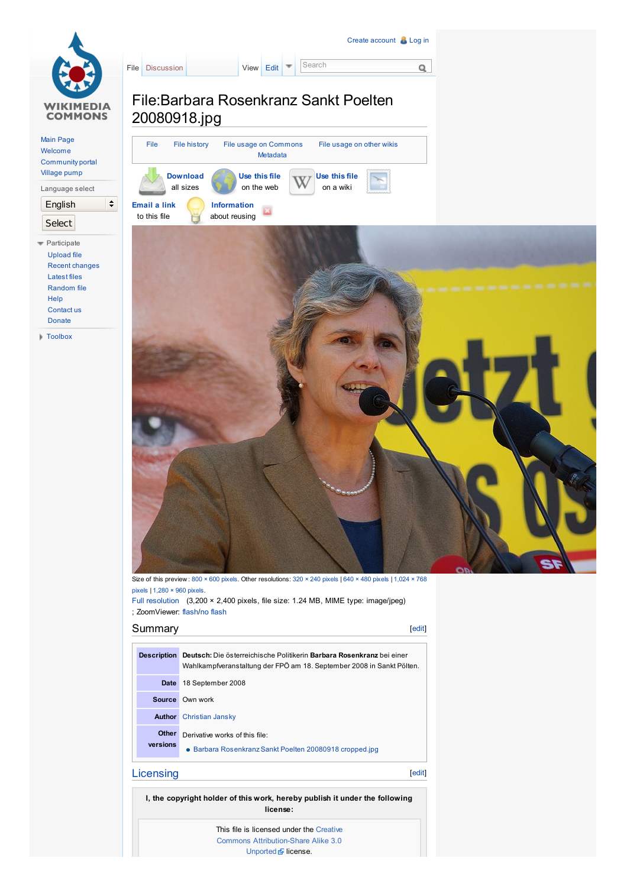<span id="page-0-1"></span><span id="page-0-0"></span>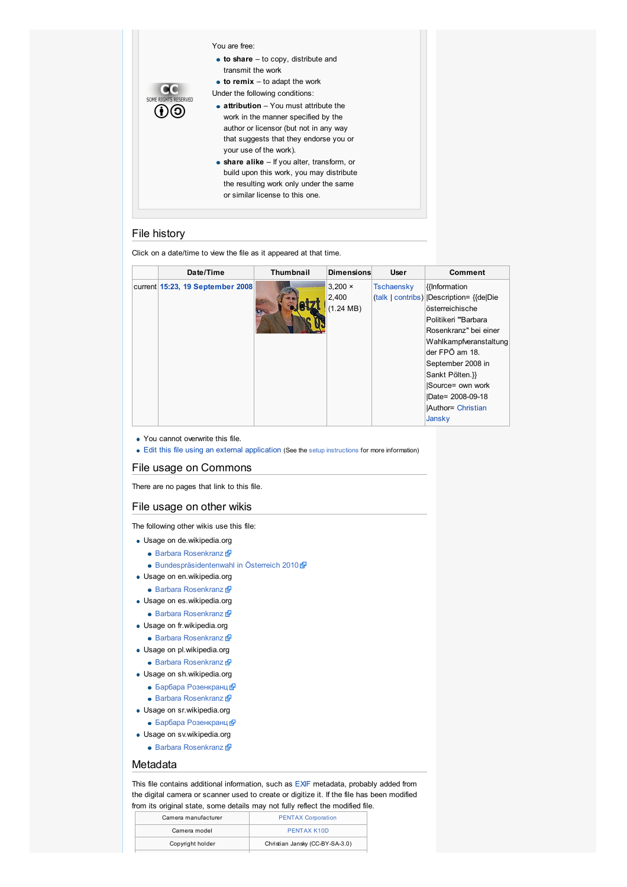#### You are free:

- **to share** to copy, distribute and transmit the work
- **to remix** to adapt the work
- Under the following conditions:
- **attribution** You must attribute the work in the manner specified by the author or licensor (but not in any way that suggests that they endorse you or your use of the work). **share alike** – If you alter, transform, or
- build upon this work, you may distribute the resulting work only under the same or similar license to this one.

## <span id="page-1-0"></span>File history

SOME RIGHTS RESERVED  $\odot\odot$ 

Click on a date/time to view the file as it appeared at that time.

| Date/Time                        | <b>Thumbnail</b> | <b>Dimensions</b>   | <b>User</b> | Comment                                   |
|----------------------------------|------------------|---------------------|-------------|-------------------------------------------|
| current 15:23, 19 September 2008 |                  | $3.200 \times$      | Tschaensky  | {{Information}                            |
|                                  |                  | 2,400               |             | (talk   contribs)   Description= {{de Die |
|                                  |                  | $(1.24 \text{ MB})$ |             | österreichische                           |
|                                  |                  |                     |             | Politikeri "Barbara                       |
|                                  |                  |                     |             | Rosenkranz" bei einer                     |
|                                  |                  |                     |             | Wahlkampfveranstaltung                    |
|                                  |                  |                     |             | der FPÖ am 18.                            |
|                                  |                  |                     |             | September 2008 in                         |
|                                  |                  |                     |             | Sankt Pölten.}}                           |
|                                  |                  |                     |             | Source= own work                          |
|                                  |                  |                     |             | Date= 2008-09-18                          |
|                                  |                  |                     |             | <b>Author= Christian</b>                  |
|                                  |                  |                     |             | Jansky                                    |

- You cannot overwrite this file.
- Edit this file using an external [application](http://commons.wikimedia.org/w/index.php?title=File:Barbara_Rosenkranz_Sankt_Poelten_20080918.jpg&action=edit&externaledit=true&mode=file) (See the setup [instructions](http://www.mediawiki.org/wiki/Manual:External_editors) for more information)

### <span id="page-1-1"></span>File usage on Commons

There are no pages that link to this file.

### <span id="page-1-2"></span>File usage on other wikis

The following other wikis use this file:

- Usage on de.wikipedia.org
	- Barbara [Rosenkranz](http://de.wikipedia.org/wiki/Barbara_Rosenkranz)
	- [Bundespräsidentenwahl](http://de.wikipedia.org/wiki/Bundespr%C3%A4sidentenwahl_in_%C3%96sterreich_2010) in Österreich 2010
- Usage on en.wikipedia.org
- Barbara [Rosenkranz](http://en.wikipedia.org/wiki/Barbara_Rosenkranz)
- Usage on es.wikipedia.org
	- Barbara [Rosenkranz](http://es.wikipedia.org/wiki/Barbara_Rosenkranz)
- Usage on fr.wikipedia.org
	- Barbara [Rosenkranz](http://fr.wikipedia.org/wiki/Barbara_Rosenkranz)
- Usage on pl.wikipedia.org
	- Barbara [Rosenkranz](http://pl.wikipedia.org/wiki/Barbara_Rosenkranz)
- Usage on sh.wikipedia.org
	- Барбара [Розенкранц](http://sh.wikipedia.org/wiki/%D0%91%D0%B0%D1%80%D0%B1%D0%B0%D1%80%D0%B0_%D0%A0%D0%BE%D0%B7%D0%B5%D0%BD%D0%BA%D1%80%D0%B0%D0%BD%D1%86)
	- Barbara [Rosenkranz](http://sh.wikipedia.org/wiki/Barbara_Rosenkranz)
- Usage on sr.wikipedia.org
- Барбара [Розенкранц](http://sr.wikipedia.org/wiki/%D0%91%D0%B0%D1%80%D0%B1%D0%B0%D1%80%D0%B0_%D0%A0%D0%BE%D0%B7%D0%B5%D0%BD%D0%BA%D1%80%D0%B0%D0%BD%D1%86)
- Usage on sv.wikipedia.org
	- Barbara [Rosenkranz](http://sv.wikipedia.org/wiki/Barbara_Rosenkranz)

# <span id="page-1-3"></span>Metadata

This file contains additional information, such as [EXIF](http://commons.wikimedia.org/wiki/Commons:EXIF) metadata, probably added from the digital camera or scanner used to create or digitize it. If the file has been modified from its original state, some details may not fully reflect the modified file.

| Camera manufacturer | <b>PENTAX Corporation</b>       |  |  |
|---------------------|---------------------------------|--|--|
| Camera model        | PENTAX K10D                     |  |  |
| Copyright holder    | Christian Jansky (CC-BY-SA-3.0) |  |  |